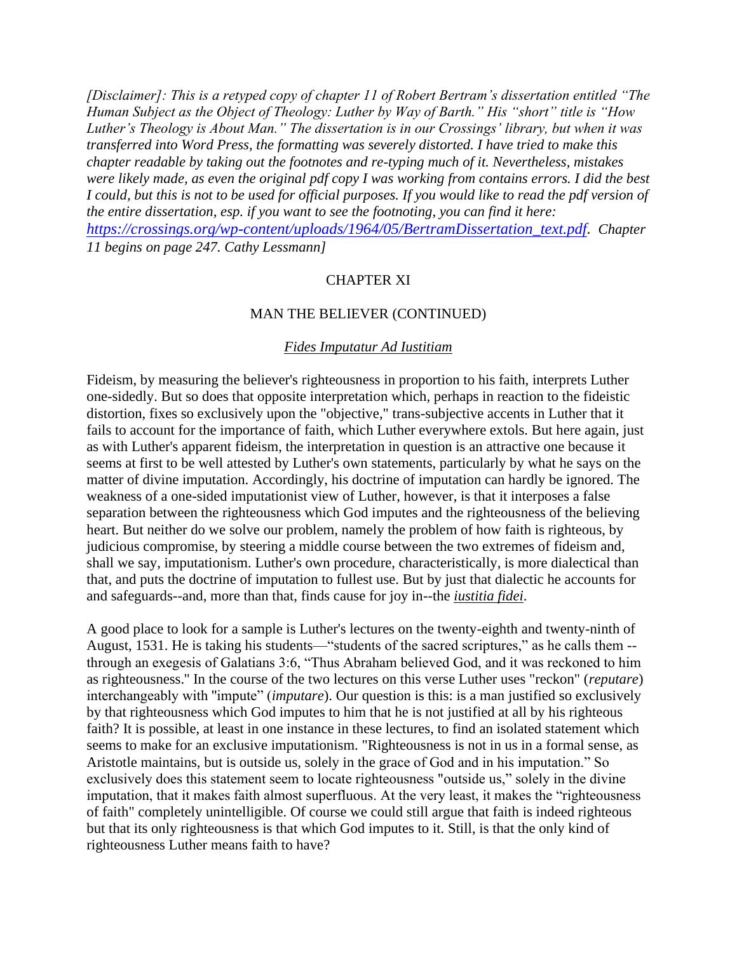*[Disclaimer]: This is a retyped copy of chapter 11 of Robert Bertram's dissertation entitled "The Human Subject as the Object of Theology: Luther by Way of Barth." His "short" title is "How Luther's Theology is About Man." The dissertation is in our Crossings' library, but when it was transferred into Word Press, the formatting was severely distorted. I have tried to make this chapter readable by taking out the footnotes and re-typing much of it. Nevertheless, mistakes were likely made, as even the original pdf copy I was working from contains errors. I did the best I could, but this is not to be used for official purposes. If you would like to read the pdf version of the entire dissertation, esp. if you want to see the footnoting, you can find it here: [https://crossings.org/wp-content/uploads/1964/05/BertramDissertation\\_text.pdf](https://crossings.org/wp-content/uploads/1964/05/BertramDissertation_text.pdf). Chapter 11 begins on page 247. Cathy Lessmann]*

# CHAPTER XI

### MAN THE BELIEVER (CONTINUED)

#### *Fides Imputatur Ad Iustitiam*

Fideism, by measuring the believer's righteousness in proportion to his faith, interprets Luther one-sidedly. But so does that opposite interpretation which, perhaps in reaction to the fideistic distortion, fixes so exclusively upon the "objective," trans-subjective accents in Luther that it fails to account for the importance of faith, which Luther everywhere extols. But here again, just as with Luther's apparent fideism, the interpretation in question is an attractive one because it seems at first to be well attested by Luther's own statements, particularly by what he says on the matter of divine imputation. Accordingly, his doctrine of imputation can hardly be ignored. The weakness of a one-sided imputationist view of Luther, however, is that it interposes a false separation between the righteousness which God imputes and the righteousness of the believing heart. But neither do we solve our problem, namely the problem of how faith is righteous, by judicious compromise, by steering a middle course between the two extremes of fideism and, shall we say, imputationism. Luther's own procedure, characteristically, is more dialectical than that, and puts the doctrine of imputation to fullest use. But by just that dialectic he accounts for and safeguards--and, more than that, finds cause for joy in--the *iustitia fidei*.

A good place to look for a sample is Luther's lectures on the twenty-eighth and twenty-ninth of August, 1531. He is taking his students—"students of the sacred scriptures," as he calls them - through an exegesis of Galatians 3:6, "Thus Abraham believed God, and it was reckoned to him as righteousness.'' In the course of the two lectures on this verse Luther uses "reckon" (*reputare*) interchangeably with ''impute" (*imputare*). Our question is this: is a man justified so exclusively by that righteousness which God imputes to him that he is not justified at all by his righteous faith? It is possible, at least in one instance in these lectures, to find an isolated statement which seems to make for an exclusive imputationism. "Righteousness is not in us in a formal sense, as Aristotle maintains, but is outside us, solely in the grace of God and in his imputation." So exclusively does this statement seem to locate righteousness "outside us," solely in the divine imputation, that it makes faith almost superfluous. At the very least, it makes the "righteousness of faith" completely unintelligible. Of course we could still argue that faith is indeed righteous but that its only righteousness is that which God imputes to it. Still, is that the only kind of righteousness Luther means faith to have?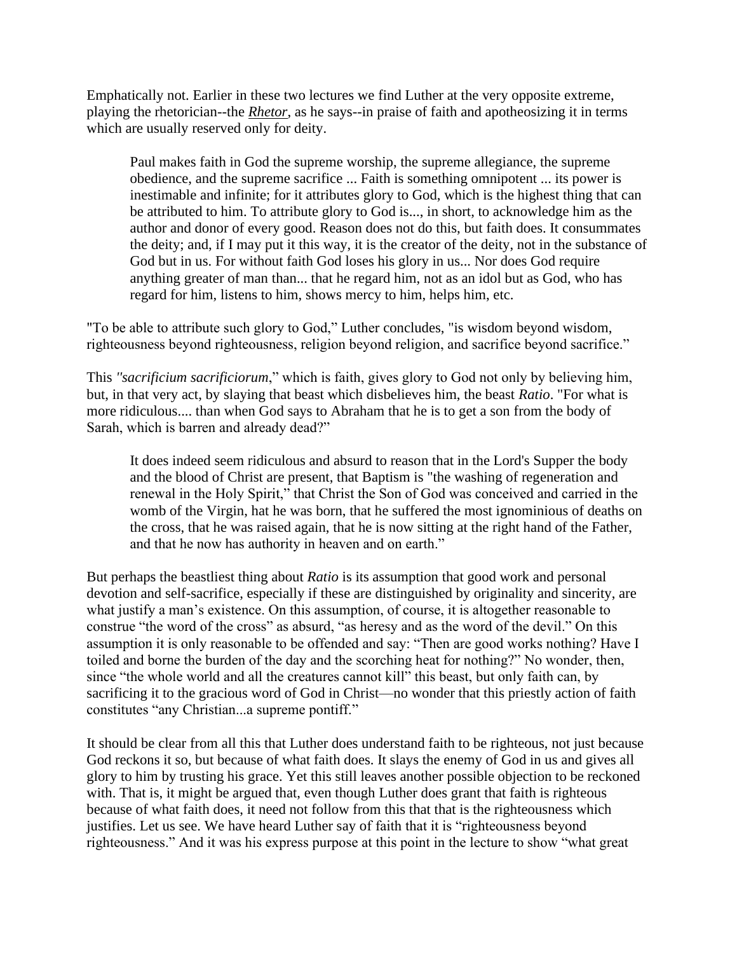Emphatically not. Earlier in these two lectures we find Luther at the very opposite extreme, playing the rhetorician--the *Rhetor*, as he says--in praise of faith and apotheosizing it in terms which are usually reserved only for deity.

Paul makes faith in God the supreme worship, the supreme allegiance, the supreme obedience, and the supreme sacrifice ... Faith is something omnipotent ... its power is inestimable and infinite; for it attributes glory to God, which is the highest thing that can be attributed to him. To attribute glory to God is..., in short, to acknowledge him as the author and donor of every good. Reason does not do this, but faith does. It consummates the deity; and, if I may put it this way, it is the creator of the deity, not in the substance of God but in us. For without faith God loses his glory in us... Nor does God require anything greater of man than... that he regard him, not as an idol but as God, who has regard for him, listens to him, shows mercy to him, helps him, etc.

"To be able to attribute such glory to God," Luther concludes, "is wisdom beyond wisdom, righteousness beyond righteousness, religion beyond religion, and sacrifice beyond sacrifice."

This *''sacrificium sacrificiorum*," which is faith, gives glory to God not only by believing him, but, in that very act, by slaying that beast which disbelieves him, the beast *Ratio*. "For what is more ridiculous.... than when God says to Abraham that he is to get a son from the body of Sarah, which is barren and already dead?"

It does indeed seem ridiculous and absurd to reason that in the Lord's Supper the body and the blood of Christ are present, that Baptism is "the washing of regeneration and renewal in the Holy Spirit," that Christ the Son of God was conceived and carried in the womb of the Virgin, hat he was born, that he suffered the most ignominious of deaths on the cross, that he was raised again, that he is now sitting at the right hand of the Father, and that he now has authority in heaven and on earth."

But perhaps the beastliest thing about *Ratio* is its assumption that good work and personal devotion and self-sacrifice, especially if these are distinguished by originality and sincerity, are what justify a man's existence. On this assumption, of course, it is altogether reasonable to construe "the word of the cross" as absurd, "as heresy and as the word of the devil." On this assumption it is only reasonable to be offended and say: "Then are good works nothing? Have I toiled and borne the burden of the day and the scorching heat for nothing?" No wonder, then, since "the whole world and all the creatures cannot kill" this beast, but only faith can, by sacrificing it to the gracious word of God in Christ—no wonder that this priestly action of faith constitutes "any Christian...a supreme pontiff."

It should be clear from all this that Luther does understand faith to be righteous, not just because God reckons it so, but because of what faith does. It slays the enemy of God in us and gives all glory to him by trusting his grace. Yet this still leaves another possible objection to be reckoned with. That is, it might be argued that, even though Luther does grant that faith is righteous because of what faith does, it need not follow from this that that is the righteousness which justifies. Let us see. We have heard Luther say of faith that it is "righteousness beyond righteousness." And it was his express purpose at this point in the lecture to show "what great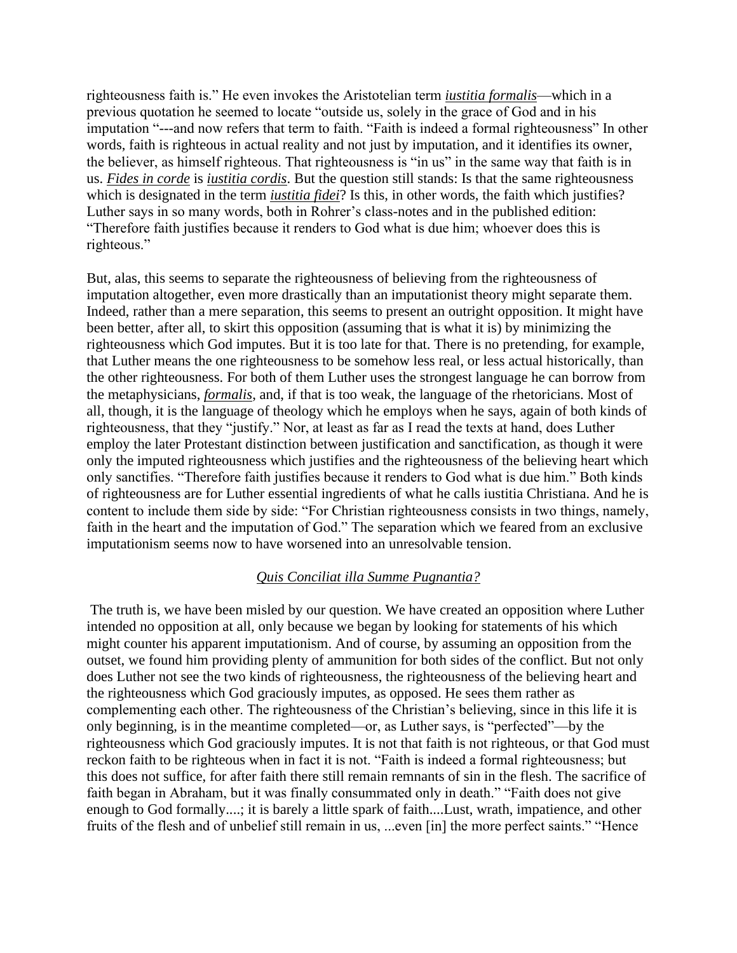righteousness faith is." He even invokes the Aristotelian term *iustitia formalis*—which in a previous quotation he seemed to locate "outside us, solely in the grace of God and in his imputation "---and now refers that term to faith. "Faith is indeed a formal righteousness" In other words, faith is righteous in actual reality and not just by imputation, and it identifies its owner, the believer, as himself righteous. That righteousness is "in us" in the same way that faith is in us. *Fides in corde* is *iustitia cordis*. But the question still stands: Is that the same righteousness which is designated in the term *iustitia fidei*? Is this, in other words, the faith which justifies? Luther says in so many words, both in Rohrer's class-notes and in the published edition: "Therefore faith justifies because it renders to God what is due him; whoever does this is righteous."

But, alas, this seems to separate the righteousness of believing from the righteousness of imputation altogether, even more drastically than an imputationist theory might separate them. Indeed, rather than a mere separation, this seems to present an outright opposition. It might have been better, after all, to skirt this opposition (assuming that is what it is) by minimizing the righteousness which God imputes. But it is too late for that. There is no pretending, for example, that Luther means the one righteousness to be somehow less real, or less actual historically, than the other righteousness. For both of them Luther uses the strongest language he can borrow from the metaphysicians, *formalis*, and, if that is too weak, the language of the rhetoricians. Most of all, though, it is the language of theology which he employs when he says, again of both kinds of righteousness, that they "justify." Nor, at least as far as I read the texts at hand, does Luther employ the later Protestant distinction between justification and sanctification, as though it were only the imputed righteousness which justifies and the righteousness of the believing heart which only sanctifies. "Therefore faith justifies because it renders to God what is due him." Both kinds of righteousness are for Luther essential ingredients of what he calls iustitia Christiana. And he is content to include them side by side: "For Christian righteousness consists in two things, namely, faith in the heart and the imputation of God." The separation which we feared from an exclusive imputationism seems now to have worsened into an unresolvable tension.

### *Quis Conciliat illa Summe Pugnantia?*

The truth is, we have been misled by our question. We have created an opposition where Luther intended no opposition at all, only because we began by looking for statements of his which might counter his apparent imputationism. And of course, by assuming an opposition from the outset, we found him providing plenty of ammunition for both sides of the conflict. But not only does Luther not see the two kinds of righteousness, the righteousness of the believing heart and the righteousness which God graciously imputes, as opposed. He sees them rather as complementing each other. The righteousness of the Christian's believing, since in this life it is only beginning, is in the meantime completed—or, as Luther says, is "perfected"—by the righteousness which God graciously imputes. It is not that faith is not righteous, or that God must reckon faith to be righteous when in fact it is not. "Faith is indeed a formal righteousness; but this does not suffice, for after faith there still remain remnants of sin in the flesh. The sacrifice of faith began in Abraham, but it was finally consummated only in death." "Faith does not give enough to God formally....; it is barely a little spark of faith....Lust, wrath, impatience, and other fruits of the flesh and of unbelief still remain in us, ...even [in] the more perfect saints." "Hence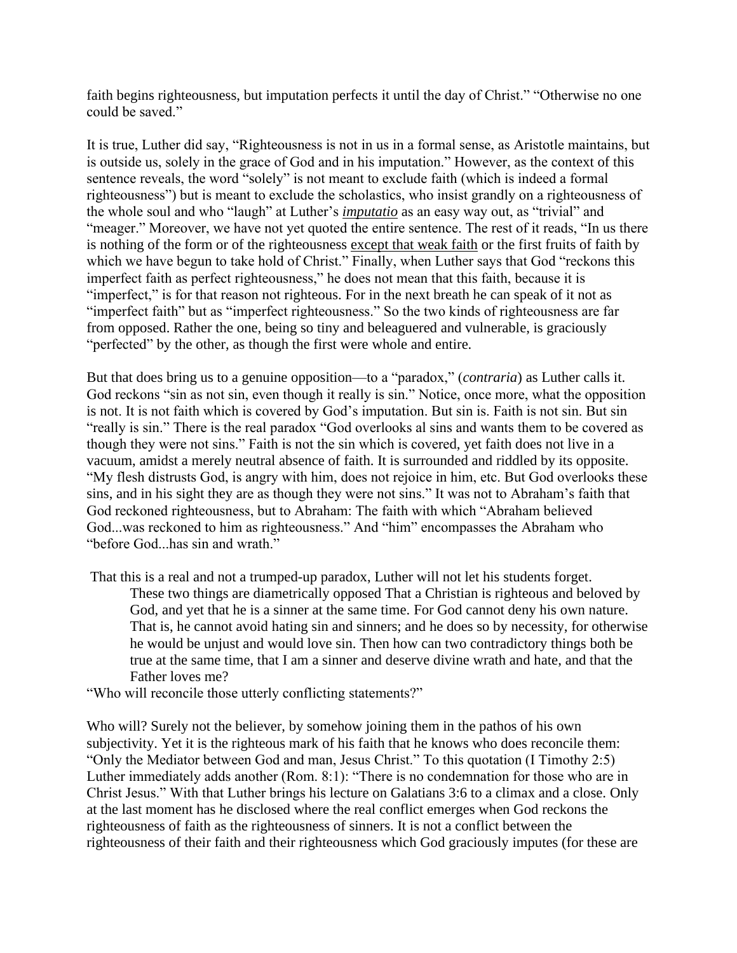faith begins righteousness, but imputation perfects it until the day of Christ." "Otherwise no one could be saved."

It is true, Luther did say, "Righteousness is not in us in a formal sense, as Aristotle maintains, but is outside us, solely in the grace of God and in his imputation." However, as the context of this sentence reveals, the word "solely" is not meant to exclude faith (which is indeed a formal righteousness") but is meant to exclude the scholastics, who insist grandly on a righteousness of the whole soul and who "laugh" at Luther's *imputatio* as an easy way out, as "trivial" and "meager." Moreover, we have not yet quoted the entire sentence. The rest of it reads, "In us there is nothing of the form or of the righteousness except that weak faith or the first fruits of faith by which we have begun to take hold of Christ." Finally, when Luther says that God "reckons this imperfect faith as perfect righteousness," he does not mean that this faith, because it is "imperfect," is for that reason not righteous. For in the next breath he can speak of it not as "imperfect faith" but as "imperfect righteousness." So the two kinds of righteousness are far from opposed. Rather the one, being so tiny and beleaguered and vulnerable, is graciously "perfected" by the other, as though the first were whole and entire.

But that does bring us to a genuine opposition—to a "paradox," (*contraria*) as Luther calls it. God reckons "sin as not sin, even though it really is sin." Notice, once more, what the opposition is not. It is not faith which is covered by God's imputation. But sin is. Faith is not sin. But sin "really is sin." There is the real paradox "God overlooks al sins and wants them to be covered as though they were not sins." Faith is not the sin which is covered, yet faith does not live in a vacuum, amidst a merely neutral absence of faith. It is surrounded and riddled by its opposite. "My flesh distrusts God, is angry with him, does not rejoice in him, etc. But God overlooks these sins, and in his sight they are as though they were not sins." It was not to Abraham's faith that God reckoned righteousness, but to Abraham: The faith with which "Abraham believed God...was reckoned to him as righteousness." And "him" encompasses the Abraham who "before God...has sin and wrath."

- That this is a real and not a trumped-up paradox, Luther will not let his students forget. These two things are diametrically opposed That a Christian is righteous and beloved by God, and yet that he is a sinner at the same time. For God cannot deny his own nature. That is, he cannot avoid hating sin and sinners; and he does so by necessity, for otherwise he would be unjust and would love sin. Then how can two contradictory things both be true at the same time, that I am a sinner and deserve divine wrath and hate, and that the Father loves me?
- "Who will reconcile those utterly conflicting statements?"

Who will? Surely not the believer, by somehow joining them in the pathos of his own subjectivity. Yet it is the righteous mark of his faith that he knows who does reconcile them: "Only the Mediator between God and man, Jesus Christ." To this quotation (I Timothy 2:5) Luther immediately adds another (Rom. 8:1): "There is no condemnation for those who are in Christ Jesus." With that Luther brings his lecture on Galatians 3:6 to a climax and a close. Only at the last moment has he disclosed where the real conflict emerges when God reckons the righteousness of faith as the righteousness of sinners. It is not a conflict between the righteousness of their faith and their righteousness which God graciously imputes (for these are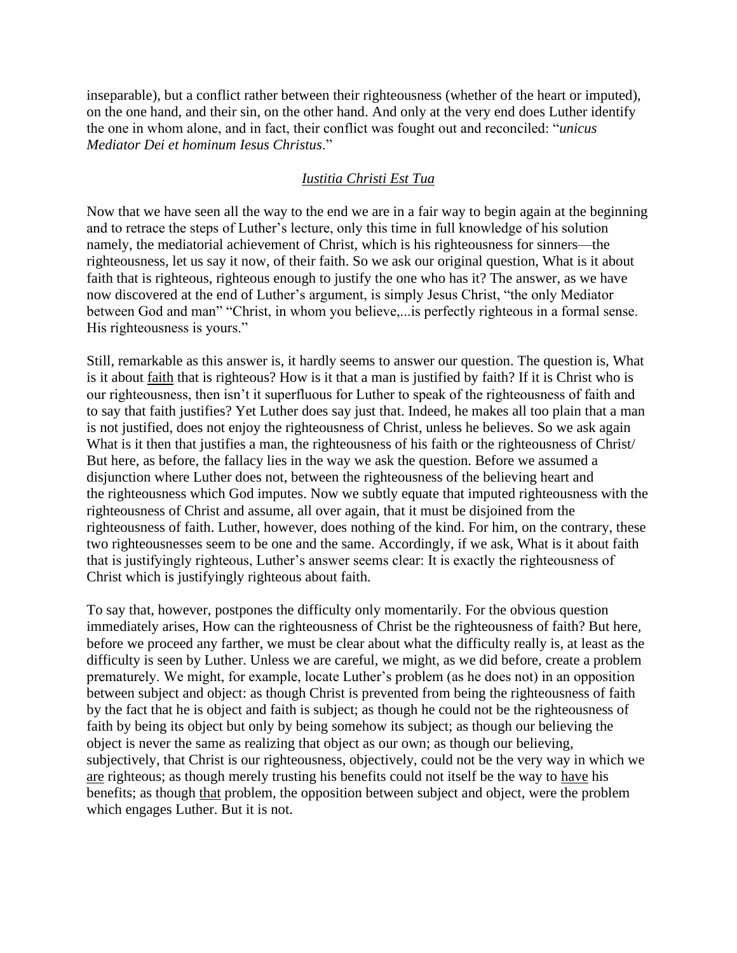inseparable), but a conflict rather between their righteousness (whether of the heart or imputed), on the one hand, and their sin, on the other hand. And only at the very end does Luther identify the one in whom alone, and in fact, their conflict was fought out and reconciled: "*unicus Mediator Dei et hominum Iesus Christus*."

# *Iustitia Christi Est Tua*

Now that we have seen all the way to the end we are in a fair way to begin again at the beginning and to retrace the steps of Luther's lecture, only this time in full knowledge of his solution namely, the mediatorial achievement of Christ, which is his righteousness for sinners—the righteousness, let us say it now, of their faith. So we ask our original question, What is it about faith that is righteous, righteous enough to justify the one who has it? The answer, as we have now discovered at the end of Luther's argument, is simply Jesus Christ, "the only Mediator between God and man" "Christ, in whom you believe,...is perfectly righteous in a formal sense. His righteousness is yours."

Still, remarkable as this answer is, it hardly seems to answer our question. The question is, What is it about faith that is righteous? How is it that a man is justified by faith? If it is Christ who is our righteousness, then isn't it superfluous for Luther to speak of the righteousness of faith and to say that faith justifies? Yet Luther does say just that. Indeed, he makes all too plain that a man is not justified, does not enjoy the righteousness of Christ, unless he believes. So we ask again What is it then that justifies a man, the righteousness of his faith or the righteousness of Christ/ But here, as before, the fallacy lies in the way we ask the question. Before we assumed a disjunction where Luther does not, between the righteousness of the believing heart and the righteousness which God imputes. Now we subtly equate that imputed righteousness with the righteousness of Christ and assume, all over again, that it must be disjoined from the righteousness of faith. Luther, however, does nothing of the kind. For him, on the contrary, these two righteousnesses seem to be one and the same. Accordingly, if we ask, What is it about faith that is justifyingly righteous, Luther's answer seems clear: It is exactly the righteousness of Christ which is justifyingly righteous about faith.

To say that, however, postpones the difficulty only momentarily. For the obvious question immediately arises, How can the righteousness of Christ be the righteousness of faith? But here, before we proceed any farther, we must be clear about what the difficulty really is, at least as the difficulty is seen by Luther. Unless we are careful, we might, as we did before, create a problem prematurely. We might, for example, locate Luther's problem (as he does not) in an opposition between subject and object: as though Christ is prevented from being the righteousness of faith by the fact that he is object and faith is subject; as though he could not be the righteousness of faith by being its object but only by being somehow its subject; as though our believing the object is never the same as realizing that object as our own; as though our believing, subjectively, that Christ is our righteousness, objectively, could not be the very way in which we are righteous; as though merely trusting his benefits could not itself be the way to have his benefits; as though that problem, the opposition between subject and object, were the problem which engages Luther. But it is not.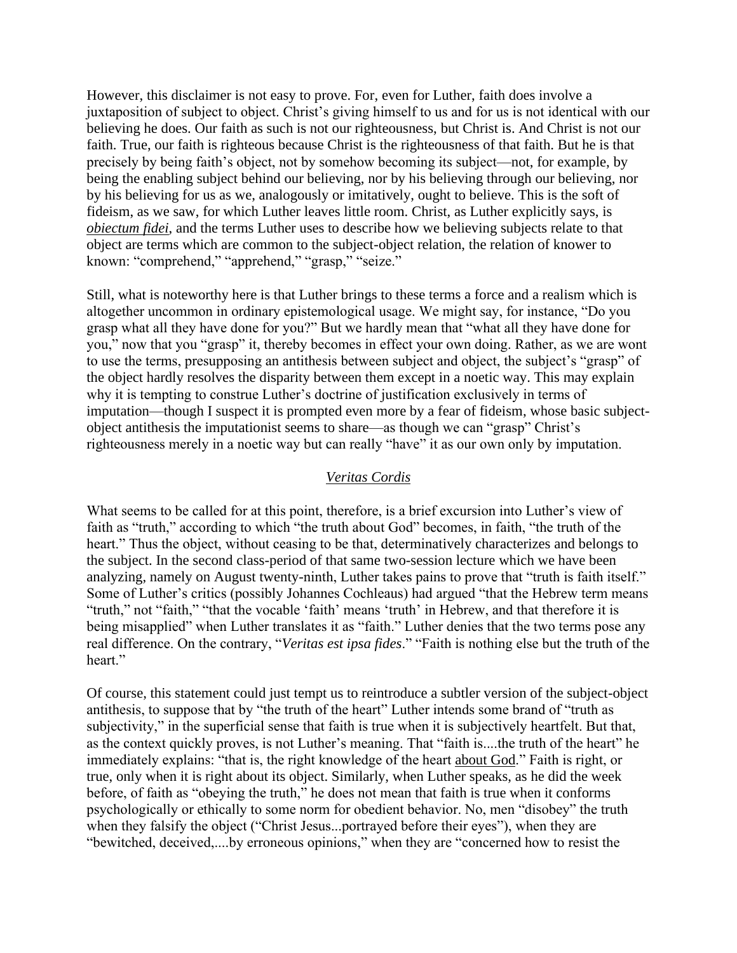However, this disclaimer is not easy to prove. For, even for Luther, faith does involve a juxtaposition of subject to object. Christ's giving himself to us and for us is not identical with our believing he does. Our faith as such is not our righteousness, but Christ is. And Christ is not our faith. True, our faith is righteous because Christ is the righteousness of that faith. But he is that precisely by being faith's object, not by somehow becoming its subject—not, for example, by being the enabling subject behind our believing, nor by his believing through our believing, nor by his believing for us as we, analogously or imitatively, ought to believe. This is the soft of fideism, as we saw, for which Luther leaves little room. Christ, as Luther explicitly says, is *obiectum fidei*, and the terms Luther uses to describe how we believing subjects relate to that object are terms which are common to the subject-object relation, the relation of knower to known: "comprehend," "apprehend," "grasp," "seize."

Still, what is noteworthy here is that Luther brings to these terms a force and a realism which is altogether uncommon in ordinary epistemological usage. We might say, for instance, "Do you grasp what all they have done for you?" But we hardly mean that "what all they have done for you," now that you "grasp" it, thereby becomes in effect your own doing. Rather, as we are wont to use the terms, presupposing an antithesis between subject and object, the subject's "grasp" of the object hardly resolves the disparity between them except in a noetic way. This may explain why it is tempting to construe Luther's doctrine of justification exclusively in terms of imputation—though I suspect it is prompted even more by a fear of fideism, whose basic subjectobject antithesis the imputationist seems to share—as though we can "grasp" Christ's righteousness merely in a noetic way but can really "have" it as our own only by imputation.

### *Veritas Cordis*

What seems to be called for at this point, therefore, is a brief excursion into Luther's view of faith as "truth," according to which "the truth about God" becomes, in faith, "the truth of the heart." Thus the object, without ceasing to be that, determinatively characterizes and belongs to the subject. In the second class-period of that same two-session lecture which we have been analyzing, namely on August twenty-ninth, Luther takes pains to prove that "truth is faith itself." Some of Luther's critics (possibly Johannes Cochleaus) had argued "that the Hebrew term means "truth," not "faith," "that the vocable 'faith' means 'truth' in Hebrew, and that therefore it is being misapplied" when Luther translates it as "faith." Luther denies that the two terms pose any real difference. On the contrary, "*Veritas est ipsa fides*." "Faith is nothing else but the truth of the heart."

Of course, this statement could just tempt us to reintroduce a subtler version of the subject-object antithesis, to suppose that by "the truth of the heart" Luther intends some brand of "truth as subjectivity," in the superficial sense that faith is true when it is subjectively heartfelt. But that, as the context quickly proves, is not Luther's meaning. That "faith is....the truth of the heart" he immediately explains: "that is, the right knowledge of the heart about God." Faith is right, or true, only when it is right about its object. Similarly, when Luther speaks, as he did the week before, of faith as "obeying the truth," he does not mean that faith is true when it conforms psychologically or ethically to some norm for obedient behavior. No, men "disobey" the truth when they falsify the object ("Christ Jesus...portrayed before their eyes"), when they are "bewitched, deceived,....by erroneous opinions," when they are "concerned how to resist the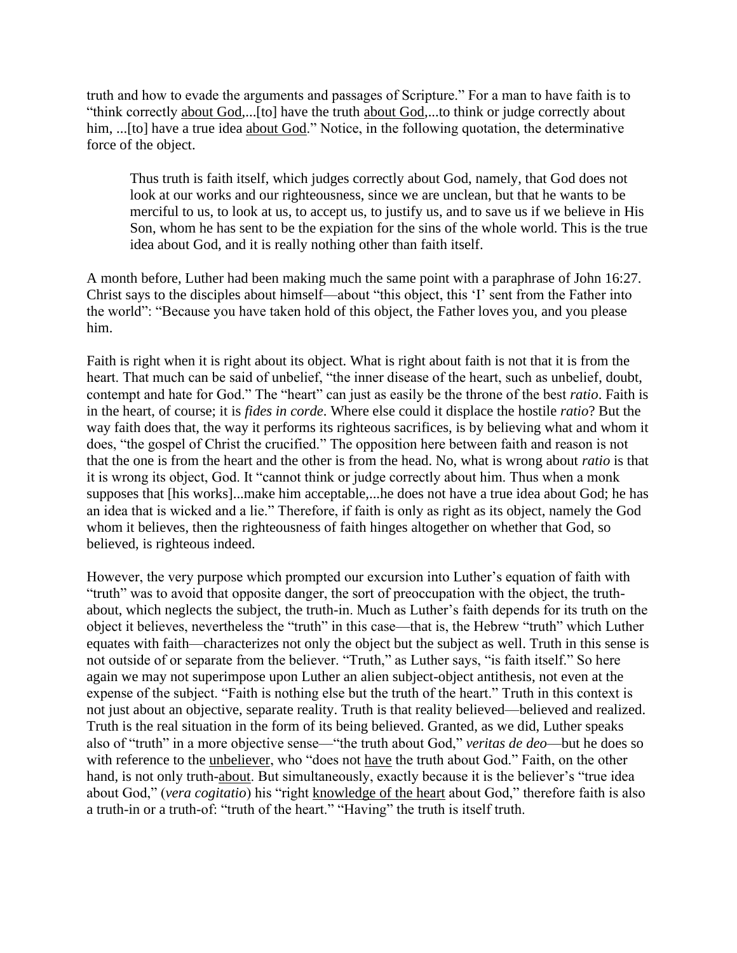truth and how to evade the arguments and passages of Scripture." For a man to have faith is to "think correctly about God,...[to] have the truth about God,...to think or judge correctly about him, ...[to] have a true idea about God." Notice, in the following quotation, the determinative force of the object.

Thus truth is faith itself, which judges correctly about God, namely, that God does not look at our works and our righteousness, since we are unclean, but that he wants to be merciful to us, to look at us, to accept us, to justify us, and to save us if we believe in His Son, whom he has sent to be the expiation for the sins of the whole world. This is the true idea about God, and it is really nothing other than faith itself.

A month before, Luther had been making much the same point with a paraphrase of John 16:27. Christ says to the disciples about himself—about "this object, this 'I' sent from the Father into the world": "Because you have taken hold of this object, the Father loves you, and you please him.

Faith is right when it is right about its object. What is right about faith is not that it is from the heart. That much can be said of unbelief, "the inner disease of the heart, such as unbelief, doubt, contempt and hate for God." The "heart" can just as easily be the throne of the best *ratio*. Faith is in the heart, of course; it is *fides in corde*. Where else could it displace the hostile *ratio*? But the way faith does that, the way it performs its righteous sacrifices, is by believing what and whom it does, "the gospel of Christ the crucified." The opposition here between faith and reason is not that the one is from the heart and the other is from the head. No, what is wrong about *ratio* is that it is wrong its object, God. It "cannot think or judge correctly about him. Thus when a monk supposes that [his works]...make him acceptable,...he does not have a true idea about God; he has an idea that is wicked and a lie." Therefore, if faith is only as right as its object, namely the God whom it believes, then the righteousness of faith hinges altogether on whether that God, so believed, is righteous indeed.

However, the very purpose which prompted our excursion into Luther's equation of faith with "truth" was to avoid that opposite danger, the sort of preoccupation with the object, the truthabout, which neglects the subject, the truth-in. Much as Luther's faith depends for its truth on the object it believes, nevertheless the "truth" in this case—that is, the Hebrew "truth" which Luther equates with faith—characterizes not only the object but the subject as well. Truth in this sense is not outside of or separate from the believer. "Truth," as Luther says, "is faith itself." So here again we may not superimpose upon Luther an alien subject-object antithesis, not even at the expense of the subject. "Faith is nothing else but the truth of the heart." Truth in this context is not just about an objective, separate reality. Truth is that reality believed—believed and realized. Truth is the real situation in the form of its being believed. Granted, as we did, Luther speaks also of "truth" in a more objective sense—"the truth about God," *veritas de deo*—but he does so with reference to the unbeliever, who "does not have the truth about God." Faith, on the other hand, is not only truth-about. But simultaneously, exactly because it is the believer's "true idea about God," (*vera cogitatio*) his "right knowledge of the heart about God," therefore faith is also a truth-in or a truth-of: "truth of the heart." "Having" the truth is itself truth.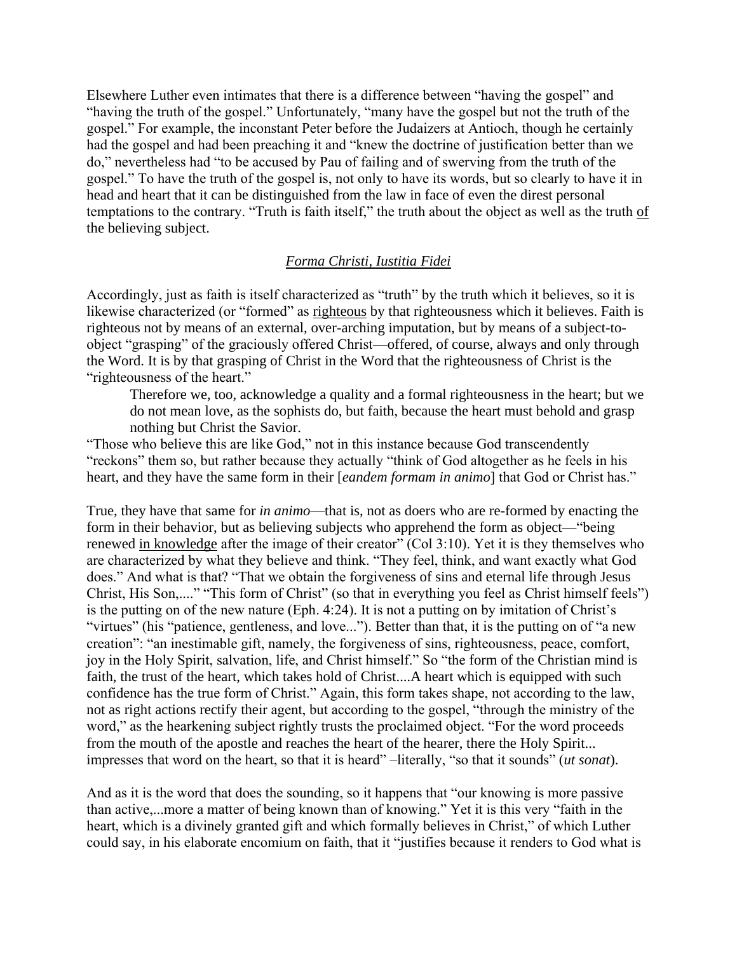Elsewhere Luther even intimates that there is a difference between "having the gospel" and "having the truth of the gospel." Unfortunately, "many have the gospel but not the truth of the gospel." For example, the inconstant Peter before the Judaizers at Antioch, though he certainly had the gospel and had been preaching it and "knew the doctrine of justification better than we do," nevertheless had "to be accused by Pau of failing and of swerving from the truth of the gospel." To have the truth of the gospel is, not only to have its words, but so clearly to have it in head and heart that it can be distinguished from the law in face of even the direst personal temptations to the contrary. "Truth is faith itself," the truth about the object as well as the truth of the believing subject.

# *Forma Christi, Iustitia Fidei*

Accordingly, just as faith is itself characterized as "truth" by the truth which it believes, so it is likewise characterized (or "formed" as righteous by that righteousness which it believes. Faith is righteous not by means of an external, over-arching imputation, but by means of a subject-toobject "grasping" of the graciously offered Christ—offered, of course, always and only through the Word. It is by that grasping of Christ in the Word that the righteousness of Christ is the "righteousness of the heart."

Therefore we, too, acknowledge a quality and a formal righteousness in the heart; but we do not mean love, as the sophists do, but faith, because the heart must behold and grasp nothing but Christ the Savior.

"Those who believe this are like God," not in this instance because God transcendently "reckons" them so, but rather because they actually "think of God altogether as he feels in his heart, and they have the same form in their [*eandem formam in animo*] that God or Christ has."

True, they have that same for *in animo*—that is, not as doers who are re-formed by enacting the form in their behavior, but as believing subjects who apprehend the form as object—"being renewed in knowledge after the image of their creator" (Col 3:10). Yet it is they themselves who are characterized by what they believe and think. "They feel, think, and want exactly what God does." And what is that? "That we obtain the forgiveness of sins and eternal life through Jesus Christ, His Son,...." "This form of Christ" (so that in everything you feel as Christ himself feels") is the putting on of the new nature (Eph. 4:24). It is not a putting on by imitation of Christ's "virtues" (his "patience, gentleness, and love..."). Better than that, it is the putting on of "a new creation": "an inestimable gift, namely, the forgiveness of sins, righteousness, peace, comfort, joy in the Holy Spirit, salvation, life, and Christ himself." So "the form of the Christian mind is faith, the trust of the heart, which takes hold of Christ....A heart which is equipped with such confidence has the true form of Christ." Again, this form takes shape, not according to the law, not as right actions rectify their agent, but according to the gospel, "through the ministry of the word," as the hearkening subject rightly trusts the proclaimed object. "For the word proceeds from the mouth of the apostle and reaches the heart of the hearer, there the Holy Spirit... impresses that word on the heart, so that it is heard" –literally, "so that it sounds" (*ut sonat*).

And as it is the word that does the sounding, so it happens that "our knowing is more passive than active,...more a matter of being known than of knowing." Yet it is this very "faith in the heart, which is a divinely granted gift and which formally believes in Christ," of which Luther could say, in his elaborate encomium on faith, that it "justifies because it renders to God what is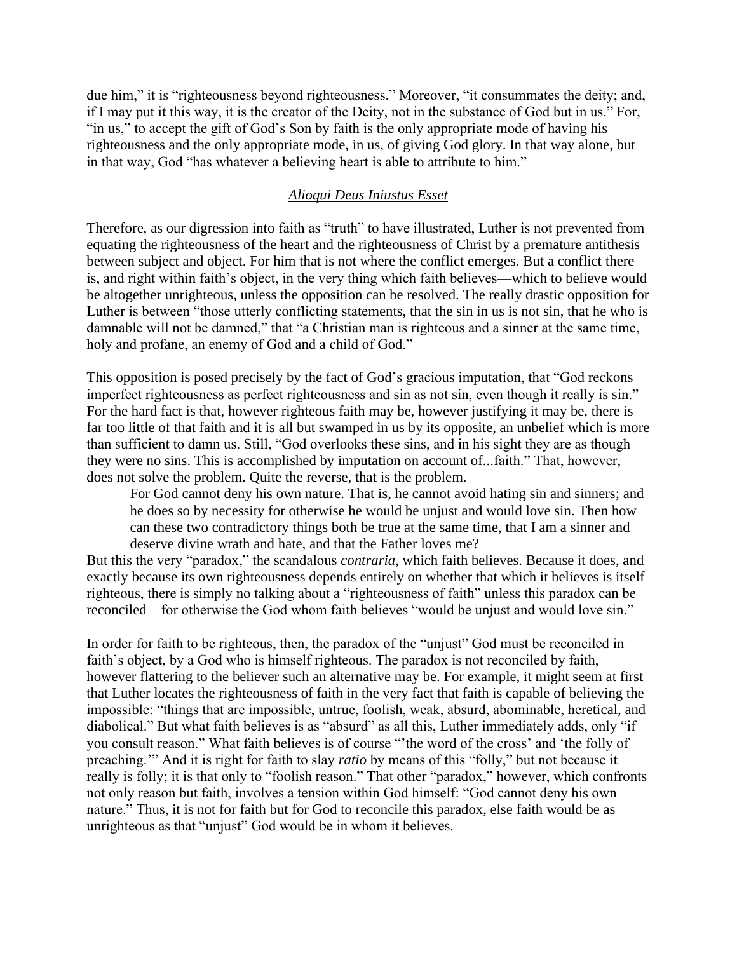due him," it is "righteousness beyond righteousness." Moreover, "it consummates the deity; and, if I may put it this way, it is the creator of the Deity, not in the substance of God but in us." For, "in us," to accept the gift of God's Son by faith is the only appropriate mode of having his righteousness and the only appropriate mode, in us, of giving God glory. In that way alone, but in that way, God "has whatever a believing heart is able to attribute to him."

# *Alioqui Deus Iniustus Esset*

Therefore, as our digression into faith as "truth" to have illustrated, Luther is not prevented from equating the righteousness of the heart and the righteousness of Christ by a premature antithesis between subject and object. For him that is not where the conflict emerges. But a conflict there is, and right within faith's object, in the very thing which faith believes—which to believe would be altogether unrighteous, unless the opposition can be resolved. The really drastic opposition for Luther is between "those utterly conflicting statements, that the sin in us is not sin, that he who is damnable will not be damned," that "a Christian man is righteous and a sinner at the same time, holy and profane, an enemy of God and a child of God."

This opposition is posed precisely by the fact of God's gracious imputation, that "God reckons imperfect righteousness as perfect righteousness and sin as not sin, even though it really is sin." For the hard fact is that, however righteous faith may be, however justifying it may be, there is far too little of that faith and it is all but swamped in us by its opposite, an unbelief which is more than sufficient to damn us. Still, "God overlooks these sins, and in his sight they are as though they were no sins. This is accomplished by imputation on account of...faith." That, however, does not solve the problem. Quite the reverse, that is the problem.

For God cannot deny his own nature. That is, he cannot avoid hating sin and sinners; and he does so by necessity for otherwise he would be unjust and would love sin. Then how can these two contradictory things both be true at the same time, that I am a sinner and deserve divine wrath and hate, and that the Father loves me?

But this the very "paradox," the scandalous *contraria*, which faith believes. Because it does, and exactly because its own righteousness depends entirely on whether that which it believes is itself righteous, there is simply no talking about a "righteousness of faith" unless this paradox can be reconciled—for otherwise the God whom faith believes "would be unjust and would love sin."

In order for faith to be righteous, then, the paradox of the "unjust" God must be reconciled in faith's object, by a God who is himself righteous. The paradox is not reconciled by faith, however flattering to the believer such an alternative may be. For example, it might seem at first that Luther locates the righteousness of faith in the very fact that faith is capable of believing the impossible: "things that are impossible, untrue, foolish, weak, absurd, abominable, heretical, and diabolical." But what faith believes is as "absurd" as all this, Luther immediately adds, only "if you consult reason." What faith believes is of course "'the word of the cross' and 'the folly of preaching.'" And it is right for faith to slay *ratio* by means of this "folly," but not because it really is folly; it is that only to "foolish reason." That other "paradox," however, which confronts not only reason but faith, involves a tension within God himself: "God cannot deny his own nature." Thus, it is not for faith but for God to reconcile this paradox, else faith would be as unrighteous as that "unjust" God would be in whom it believes.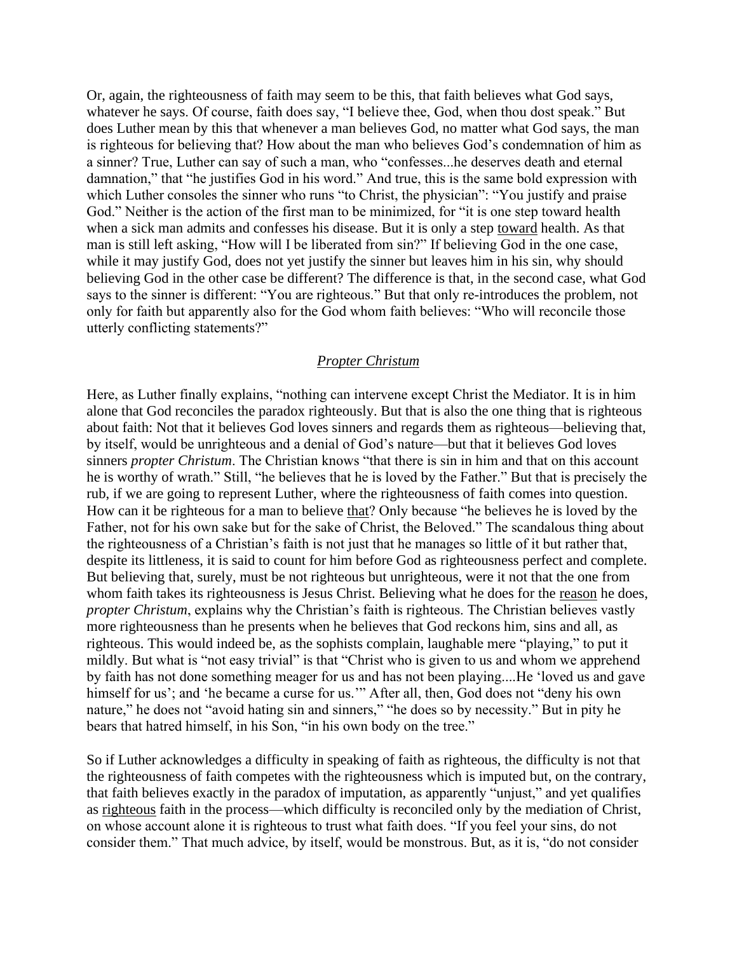Or, again, the righteousness of faith may seem to be this, that faith believes what God says, whatever he says. Of course, faith does say, "I believe thee, God, when thou dost speak." But does Luther mean by this that whenever a man believes God, no matter what God says, the man is righteous for believing that? How about the man who believes God's condemnation of him as a sinner? True, Luther can say of such a man, who "confesses...he deserves death and eternal damnation," that "he justifies God in his word." And true, this is the same bold expression with which Luther consoles the sinner who runs "to Christ, the physician": "You justify and praise God." Neither is the action of the first man to be minimized, for "it is one step toward health when a sick man admits and confesses his disease. But it is only a step toward health. As that man is still left asking, "How will I be liberated from sin?" If believing God in the one case, while it may justify God, does not yet justify the sinner but leaves him in his sin, why should believing God in the other case be different? The difference is that, in the second case, what God says to the sinner is different: "You are righteous." But that only re-introduces the problem, not only for faith but apparently also for the God whom faith believes: "Who will reconcile those utterly conflicting statements?"

#### *Propter Christum*

Here, as Luther finally explains, "nothing can intervene except Christ the Mediator. It is in him alone that God reconciles the paradox righteously. But that is also the one thing that is righteous about faith: Not that it believes God loves sinners and regards them as righteous—believing that, by itself, would be unrighteous and a denial of God's nature—but that it believes God loves sinners *propter Christum*. The Christian knows "that there is sin in him and that on this account he is worthy of wrath." Still, "he believes that he is loved by the Father." But that is precisely the rub, if we are going to represent Luther, where the righteousness of faith comes into question. How can it be righteous for a man to believe that? Only because "he believes he is loved by the Father, not for his own sake but for the sake of Christ, the Beloved." The scandalous thing about the righteousness of a Christian's faith is not just that he manages so little of it but rather that, despite its littleness, it is said to count for him before God as righteousness perfect and complete. But believing that, surely, must be not righteous but unrighteous, were it not that the one from whom faith takes its righteousness is Jesus Christ. Believing what he does for the reason he does, *propter Christum*, explains why the Christian's faith is righteous. The Christian believes vastly more righteousness than he presents when he believes that God reckons him, sins and all, as righteous. This would indeed be, as the sophists complain, laughable mere "playing," to put it mildly. But what is "not easy trivial" is that "Christ who is given to us and whom we apprehend by faith has not done something meager for us and has not been playing....He 'loved us and gave himself for us'; and 'he became a curse for us.'" After all, then, God does not "deny his own nature," he does not "avoid hating sin and sinners," "he does so by necessity." But in pity he bears that hatred himself, in his Son, "in his own body on the tree."

So if Luther acknowledges a difficulty in speaking of faith as righteous, the difficulty is not that the righteousness of faith competes with the righteousness which is imputed but, on the contrary, that faith believes exactly in the paradox of imputation, as apparently "unjust," and yet qualifies as righteous faith in the process—which difficulty is reconciled only by the mediation of Christ, on whose account alone it is righteous to trust what faith does. "If you feel your sins, do not consider them." That much advice, by itself, would be monstrous. But, as it is, "do not consider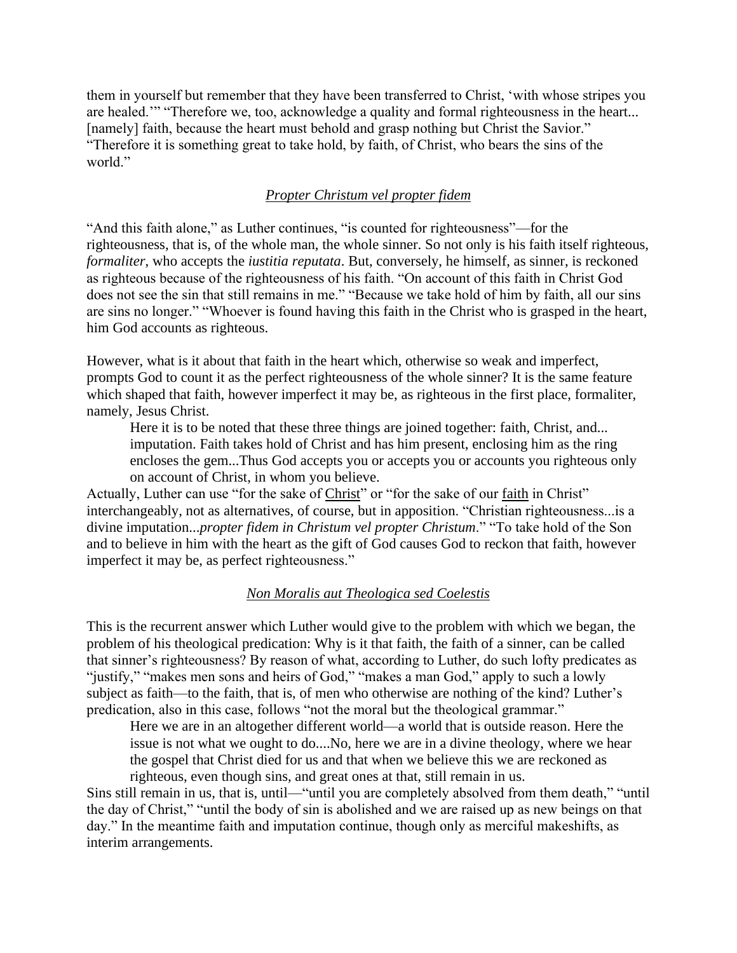them in yourself but remember that they have been transferred to Christ, 'with whose stripes you are healed.'" "Therefore we, too, acknowledge a quality and formal righteousness in the heart... [namely] faith, because the heart must behold and grasp nothing but Christ the Savior." "Therefore it is something great to take hold, by faith, of Christ, who bears the sins of the world."

### *Propter Christum vel propter fidem*

"And this faith alone," as Luther continues, "is counted for righteousness"—for the righteousness, that is, of the whole man, the whole sinner. So not only is his faith itself righteous, *formaliter*, who accepts the *iustitia reputata*. But, conversely, he himself, as sinner, is reckoned as righteous because of the righteousness of his faith. "On account of this faith in Christ God does not see the sin that still remains in me." "Because we take hold of him by faith, all our sins are sins no longer." "Whoever is found having this faith in the Christ who is grasped in the heart, him God accounts as righteous.

However, what is it about that faith in the heart which, otherwise so weak and imperfect, prompts God to count it as the perfect righteousness of the whole sinner? It is the same feature which shaped that faith, however imperfect it may be, as righteous in the first place, formaliter, namely, Jesus Christ.

Here it is to be noted that these three things are joined together: faith, Christ, and... imputation. Faith takes hold of Christ and has him present, enclosing him as the ring encloses the gem...Thus God accepts you or accepts you or accounts you righteous only on account of Christ, in whom you believe.

Actually, Luther can use "for the sake of Christ" or "for the sake of our faith in Christ" interchangeably, not as alternatives, of course, but in apposition. "Christian righteousness...is a divine imputation...*propter fidem in Christum vel propter Christum*." "To take hold of the Son and to believe in him with the heart as the gift of God causes God to reckon that faith, however imperfect it may be, as perfect righteousness."

#### *Non Moralis aut Theologica sed Coelestis*

This is the recurrent answer which Luther would give to the problem with which we began, the problem of his theological predication: Why is it that faith, the faith of a sinner, can be called that sinner's righteousness? By reason of what, according to Luther, do such lofty predicates as "justify," "makes men sons and heirs of God," "makes a man God," apply to such a lowly subject as faith—to the faith, that is, of men who otherwise are nothing of the kind? Luther's predication, also in this case, follows "not the moral but the theological grammar."

Here we are in an altogether different world—a world that is outside reason. Here the issue is not what we ought to do....No, here we are in a divine theology, where we hear the gospel that Christ died for us and that when we believe this we are reckoned as righteous, even though sins, and great ones at that, still remain in us.

Sins still remain in us, that is, until—"until you are completely absolved from them death," "until the day of Christ," "until the body of sin is abolished and we are raised up as new beings on that day." In the meantime faith and imputation continue, though only as merciful makeshifts, as interim arrangements.